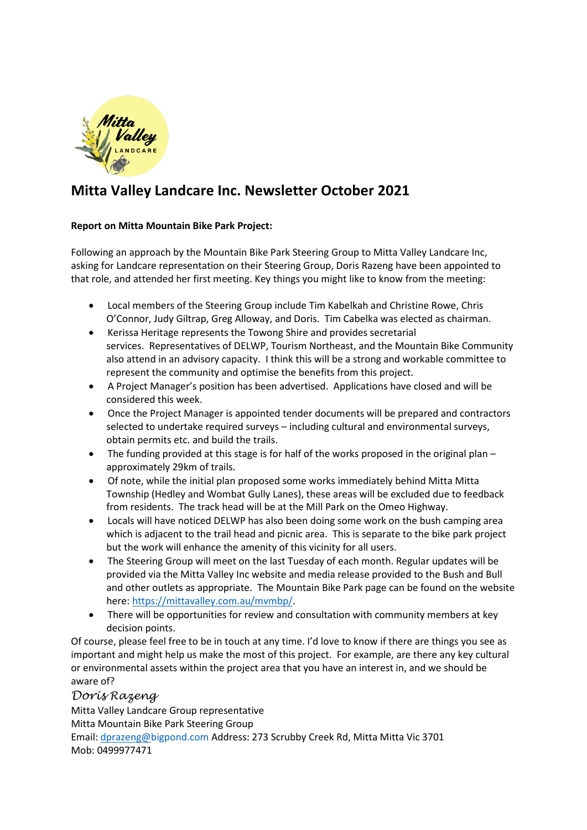

# **Mitta Valley Landcare Inc. Newsletter October 2021**

#### **Report on Mitta Mountain Bike Park Project:**

Following an approach by the Mountain Bike Park Steering Group to Mitta Valley Landcare Inc, asking for Landcare representation on their Steering Group, Doris Razeng have been appointed to that role, and attended her first meeting. Key things you might like to know from the meeting:

- Local members of the Steering Group include Tim Kabelkah and Christine Rowe, Chris O'Connor, Judy Giltrap, Greg Alloway, and Doris. Tim Cabelka was elected as chairman.
- Kerissa Heritage represents the Towong Shire and provides secretarial services. Representatives of DELWP, Tourism Northeast, and the Mountain Bike Community also attend in an advisory capacity. I think this will be a strong and workable committee to represent the community and optimise the benefits from this project.
- A Project Manager's position has been advertised. Applications have closed and will be considered this week.
- Once the Project Manager is appointed tender documents will be prepared and contractors selected to undertake required surveys – including cultural and environmental surveys, obtain permits etc. and build the trails.
- The funding provided at this stage is for half of the works proposed in the original plan approximately 29km of trails.
- Of note, while the initial plan proposed some works immediately behind Mitta Mitta Township (Hedley and Wombat Gully Lanes), these areas will be excluded due to feedback from residents. The track head will be at the Mill Park on the Omeo Highway.
- Locals will have noticed DELWP has also been doing some work on the bush camping area which is adjacent to the trail head and picnic area. This is separate to the bike park project but the work will enhance the amenity of this vicinity for all users.
- The Steering Group will meet on the last Tuesday of each month. Regular updates will be provided via the Mitta Valley Inc website and media release provided to the Bush and Bull and other outlets as appropriate. The Mountain Bike Park page can be found on the website here: [https://mittavalley.com.au/mvmbp/.](https://mittavalley.com.au/mvmbp/)
- There will be opportunities for review and consultation with community members at key decision points.

Of course, please feel free to be in touch at any time. I'd love to know if there are things you see as important and might help us make the most of this project. For example, are there any key cultural or environmental assets within the project area that you have an interest in, and we should be aware of?

### *Doris Razeng*

Mitta Valley Landcare Group representative Mitta Mountain Bike Park Steering Group Email: [dprazeng@bigpond.com](mailto:dprazeng@bigpond.com) Address: 273 Scrubby Creek Rd, Mitta Mitta Vic 3701 Mob: 0499977471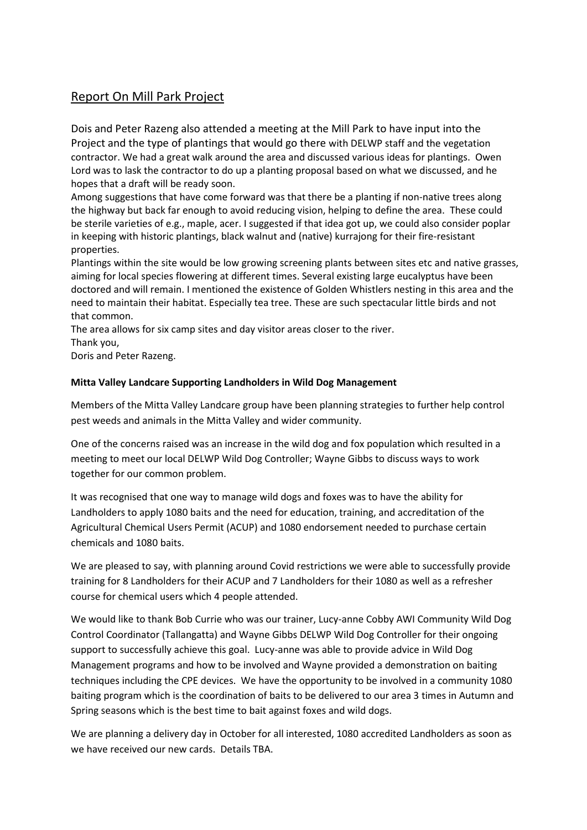## Report On Mill Park Project

Dois and Peter Razeng also attended a meeting at the Mill Park to have input into the Project and the type of plantings that would go there with DELWP staff and the vegetation contractor. We had a great walk around the area and discussed various ideas for plantings. Owen Lord was to lask the contractor to do up a planting proposal based on what we discussed, and he hopes that a draft will be ready soon.

Among suggestions that have come forward was that there be a planting if non-native trees along the highway but back far enough to avoid reducing vision, helping to define the area. These could be sterile varieties of e.g., maple, acer. I suggested if that idea got up, we could also consider poplar in keeping with historic plantings, black walnut and (native) kurrajong for their fire-resistant properties.

Plantings within the site would be low growing screening plants between sites etc and native grasses, aiming for local species flowering at different times. Several existing large eucalyptus have been doctored and will remain. I mentioned the existence of Golden Whistlers nesting in this area and the need to maintain their habitat. Especially tea tree. These are such spectacular little birds and not that common.

The area allows for six camp sites and day visitor areas closer to the river.

Thank you,

Doris and Peter Razeng.

#### **Mitta Valley Landcare Supporting Landholders in Wild Dog Management**

Members of the Mitta Valley Landcare group have been planning strategies to further help control pest weeds and animals in the Mitta Valley and wider community.

One of the concerns raised was an increase in the wild dog and fox population which resulted in a meeting to meet our local DELWP Wild Dog Controller; Wayne Gibbs to discuss ways to work together for our common problem.

It was recognised that one way to manage wild dogs and foxes was to have the ability for Landholders to apply 1080 baits and the need for education, training, and accreditation of the Agricultural Chemical Users Permit (ACUP) and 1080 endorsement needed to purchase certain chemicals and 1080 baits.

We are pleased to say, with planning around Covid restrictions we were able to successfully provide training for 8 Landholders for their ACUP and 7 Landholders for their 1080 as well as a refresher course for chemical users which 4 people attended.

We would like to thank Bob Currie who was our trainer, Lucy-anne Cobby AWI Community Wild Dog Control Coordinator (Tallangatta) and Wayne Gibbs DELWP Wild Dog Controller for their ongoing support to successfully achieve this goal. Lucy-anne was able to provide advice in Wild Dog Management programs and how to be involved and Wayne provided a demonstration on baiting techniques including the CPE devices. We have the opportunity to be involved in a community 1080 baiting program which is the coordination of baits to be delivered to our area 3 times in Autumn and Spring seasons which is the best time to bait against foxes and wild dogs.

We are planning a delivery day in October for all interested, 1080 accredited Landholders as soon as we have received our new cards. Details TBA.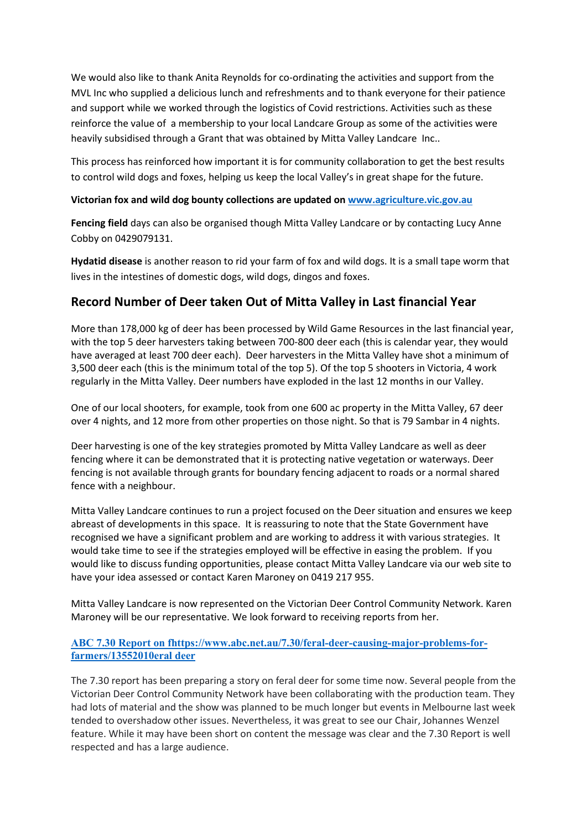We would also like to thank Anita Reynolds for co-ordinating the activities and support from the MVL Inc who supplied a delicious lunch and refreshments and to thank everyone for their patience and support while we worked through the logistics of Covid restrictions. Activities such as these reinforce the value of a membership to your local Landcare Group as some of the activities were heavily subsidised through a Grant that was obtained by Mitta Valley Landcare Inc..

This process has reinforced how important it is for community collaboration to get the best results to control wild dogs and foxes, helping us keep the local Valley's in great shape for the future.

#### **Victorian fox and wild dog bounty collections are updated on [www.agriculture.vic.gov.au](http://www.agriculture.vic.gov.au/)**

**Fencing field** days can also be organised though Mitta Valley Landcare or by contacting Lucy Anne Cobby on 0429079131.

**Hydatid disease** is another reason to rid your farm of fox and wild dogs. It is a small tape worm that lives in the intestines of domestic dogs, wild dogs, dingos and foxes.

## **Record Number of Deer taken Out of Mitta Valley in Last financial Year**

More than 178,000 kg of deer has been processed by Wild Game Resources in the last financial year, with the top 5 deer harvesters taking between 700-800 deer each (this is calendar year, they would have averaged at least 700 deer each). Deer harvesters in the Mitta Valley have shot a minimum of 3,500 deer each (this is the minimum total of the top 5). Of the top 5 shooters in Victoria, 4 work regularly in the Mitta Valley. Deer numbers have exploded in the last 12 months in our Valley.

One of our local shooters, for example, took from one 600 ac property in the Mitta Valley, 67 deer over 4 nights, and 12 more from other properties on those night. So that is 79 Sambar in 4 nights.

Deer harvesting is one of the key strategies promoted by Mitta Valley Landcare as well as deer fencing where it can be demonstrated that it is protecting native vegetation or waterways. Deer fencing is not available through grants for boundary fencing adjacent to roads or a normal shared fence with a neighbour.

Mitta Valley Landcare continues to run a project focused on the Deer situation and ensures we keep abreast of developments in this space. It is reassuring to note that the State Government have recognised we have a significant problem and are working to address it with various strategies. It would take time to see if the strategies employed will be effective in easing the problem. If you would like to discuss funding opportunities, please contact Mitta Valley Landcare via our web site to have your idea assessed or contact Karen Maroney on 0419 217 955.

Mitta Valley Landcare is now represented on the Victorian Deer Control Community Network. Karen Maroney will be our representative. We look forward to receiving reports from her.

#### **[ABC 7.30 Report on fhttps://www.abc.net.au/7.30/feral-deer-causing-major-problems-for](https://invasives.us5.list-manage.com/track/click?u=5a02d0c5ba045796a288f0506&id=7a57915e89&e=9448368336)[farmers/13552010eral deer](https://invasives.us5.list-manage.com/track/click?u=5a02d0c5ba045796a288f0506&id=7a57915e89&e=9448368336)**

The 7.30 report has been preparing a story on feral deer for some time now. Several people from the Victorian Deer Control Community Network have been collaborating with the production team. They had lots of material and the show was planned to be much longer but events in Melbourne last week tended to overshadow other issues. Nevertheless, it was great to see our Chair, Johannes Wenzel feature. While it may have been short on content the message was clear and the 7.30 Report is well respected and has a large audience.